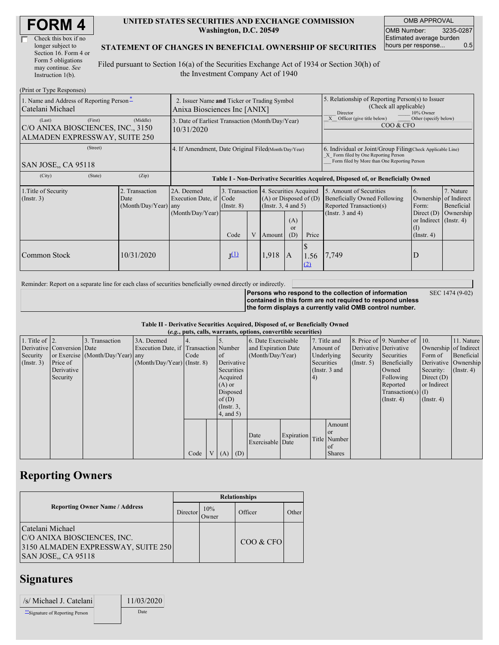| <b>FORM4</b> |
|--------------|
|--------------|

| Check this box if no  |
|-----------------------|
| longer subject to     |
| Section 16. Form 4 or |
| Form 5 obligations    |
| may continue. See     |
| Instruction $1(b)$ .  |

#### **UNITED STATES SECURITIES AND EXCHANGE COMMISSION Washington, D.C. 20549**

OMB APPROVAL OMB Number: 3235-0287 Estimated average burden hours per response... 0.5

#### **STATEMENT OF CHANGES IN BENEFICIAL OWNERSHIP OF SECURITIES**

Filed pursuant to Section 16(a) of the Securities Exchange Act of 1934 or Section 30(h) of the Investment Company Act of 1940

| (Print or Type Responses)                                                               |                                                                             |                                                                                  |                         |   |                                                                                                                                               |                |                                                                                                                                                    |                                                                                                             |                                                                                                        |                                                     |
|-----------------------------------------------------------------------------------------|-----------------------------------------------------------------------------|----------------------------------------------------------------------------------|-------------------------|---|-----------------------------------------------------------------------------------------------------------------------------------------------|----------------|----------------------------------------------------------------------------------------------------------------------------------------------------|-------------------------------------------------------------------------------------------------------------|--------------------------------------------------------------------------------------------------------|-----------------------------------------------------|
| 1. Name and Address of Reporting Person-<br>Catelani Michael                            | 2. Issuer Name and Ticker or Trading Symbol<br>Anixa Biosciences Inc [ANIX] |                                                                                  |                         |   |                                                                                                                                               |                | 5. Relationship of Reporting Person(s) to Issuer<br>(Check all applicable)<br>10% Owner<br><b>Director</b>                                         |                                                                                                             |                                                                                                        |                                                     |
| (First)<br>(Last)<br>C/O ANIXA BIOSCIENCES, INC., 3150<br>ALMADEN EXPRESSWAY, SUITE 250 | (Middle)                                                                    | 3. Date of Earliest Transaction (Month/Day/Year)<br>10/31/2020                   |                         |   |                                                                                                                                               |                | Officer (give title below)<br>Other (specify below)<br>COO & CFO                                                                                   |                                                                                                             |                                                                                                        |                                                     |
| (Street)<br>SAN JOSE, CA 95118                                                          | 4. If Amendment, Date Original Filed(Month/Day/Year)                        |                                                                                  |                         |   |                                                                                                                                               |                | 6. Individual or Joint/Group Filing Check Applicable Line)<br>X Form filed by One Reporting Person<br>Form filed by More than One Reporting Person |                                                                                                             |                                                                                                        |                                                     |
| (City)<br>(State)                                                                       | (Zip)                                                                       | Table I - Non-Derivative Securities Acquired, Disposed of, or Beneficially Owned |                         |   |                                                                                                                                               |                |                                                                                                                                                    |                                                                                                             |                                                                                                        |                                                     |
| 1. Title of Security<br>(Insert. 3)                                                     | 2. Transaction<br>Date<br>(Month/Day/Year) any                              | 2A. Deemed<br>Execution Date, if Code<br>(Month/Day/Year)                        | $($ Instr. $8)$<br>Code | V | 3. Transaction 4. Securities Acquired<br>$(A)$ or Disposed of $(D)$<br>(Insert. 3, 4 and 5)<br>(A)<br><sub>or</sub><br>Price<br>(D)<br>Amount |                |                                                                                                                                                    | 5. Amount of Securities<br>Beneficially Owned Following<br>Reported Transaction(s)<br>(Instr. $3$ and $4$ ) | 6.<br>Ownership<br>Form:<br>Direct $(D)$<br>or Indirect $($ Instr. 4)<br>$\rm (1)$<br>$($ Instr. 4 $)$ | 7. Nature<br>of Indirect<br>Beneficial<br>Ownership |
| Common Stock                                                                            | 10/31/2020                                                                  |                                                                                  | $J^{(1)}$               |   | 1,918                                                                                                                                         | $\overline{A}$ | 1.56                                                                                                                                               | 7,749                                                                                                       | D                                                                                                      |                                                     |

Reminder: Report on a separate line for each class of securities beneficially owned directly or indirectly.

**Persons who respond to the collection of information contained in this form are not required to respond unless the form displays a currently valid OMB control number.** SEC 1474 (9-02)

**Table II - Derivative Securities Acquired, Disposed of, or Beneficially Owned (***e.g.***, puts, calls, warrants, options, convertible securities)**

| $(c, \zeta, \mu, \zeta)$ cans, warrants, options, convertible securities) |                            |                                  |                                       |      |  |                 |            |                     |            |            |               |                       |                              |                       |                      |
|---------------------------------------------------------------------------|----------------------------|----------------------------------|---------------------------------------|------|--|-----------------|------------|---------------------|------------|------------|---------------|-----------------------|------------------------------|-----------------------|----------------------|
| 1. Title of $\vert$ 2.                                                    |                            | 3. Transaction                   | 3A. Deemed                            |      |  |                 |            | 6. Date Exercisable |            |            | 7. Title and  |                       | 8. Price of 9. Number of 10. |                       | 11. Nature           |
|                                                                           | Derivative Conversion Date |                                  | Execution Date, if Transaction Number |      |  |                 |            | and Expiration Date |            |            | Amount of     | Derivative Derivative |                              | Ownership of Indirect |                      |
| Security                                                                  |                            | or Exercise (Month/Day/Year) any |                                       | Code |  | of              |            | (Month/Day/Year)    |            |            | Underlying    | Security              | Securities                   | Form of               | Beneficial           |
| (Insert. 3)                                                               | Price of                   |                                  | $(Month/Day/Year)$ (Instr. 8)         |      |  |                 | Derivative |                     |            | Securities |               | $($ Instr. 5)         | Beneficially                 |                       | Derivative Ownership |
|                                                                           | Derivative                 |                                  |                                       |      |  | Securities      |            |                     |            |            | (Instr. 3 and |                       | Owned                        | Security:             | $($ Instr. 4)        |
|                                                                           | Security                   |                                  |                                       |      |  | Acquired        |            |                     |            | 4)         |               |                       | Following                    | Direct $(D)$          |                      |
|                                                                           |                            |                                  |                                       |      |  | $(A)$ or        |            |                     |            |            |               |                       | Reported                     | or Indirect           |                      |
|                                                                           |                            |                                  |                                       |      |  | Disposed        |            |                     |            |            |               |                       | $Transaction(s)$ (I)         |                       |                      |
|                                                                           |                            |                                  |                                       |      |  | of(D)           |            |                     |            |            |               |                       | $($ Instr. 4)                | $($ Instr. 4 $)$      |                      |
|                                                                           |                            |                                  |                                       |      |  | $($ Instr. 3,   |            |                     |            |            |               |                       |                              |                       |                      |
|                                                                           |                            |                                  |                                       |      |  | $4$ , and $5$ ) |            |                     |            |            |               |                       |                              |                       |                      |
|                                                                           |                            |                                  |                                       |      |  |                 |            |                     |            |            | Amount        |                       |                              |                       |                      |
|                                                                           |                            |                                  |                                       |      |  |                 |            | Date                | Expiration |            | <sub>or</sub> |                       |                              |                       |                      |
|                                                                           |                            |                                  |                                       |      |  |                 |            | Exercisable Date    |            |            | Title Number  |                       |                              |                       |                      |
|                                                                           |                            |                                  |                                       |      |  |                 |            |                     |            |            | $\alpha$ f    |                       |                              |                       |                      |
|                                                                           |                            |                                  |                                       | Code |  | V(A)            | (D)        |                     |            |            | <b>Shares</b> |                       |                              |                       |                      |

# **Reporting Owners**

|                                                                                                              | <b>Relationships</b> |              |           |       |  |  |  |  |
|--------------------------------------------------------------------------------------------------------------|----------------------|--------------|-----------|-------|--|--|--|--|
| <b>Reporting Owner Name / Address</b>                                                                        | Director             | 10%<br>Jwner | Officer   | Other |  |  |  |  |
| Catelani Michael<br>C/O ANIXA BIOSCIENCES, INC.<br>3150 ALMADEN EXPRESSWAY, SUITE 250<br>SAN JOSE,, CA 95118 |                      |              | COO & CFO |       |  |  |  |  |

# **Signatures**

| /s/ Michael J. Catelani        | 11/03/2020 |
|--------------------------------|------------|
| "Signature of Reporting Person | Date       |